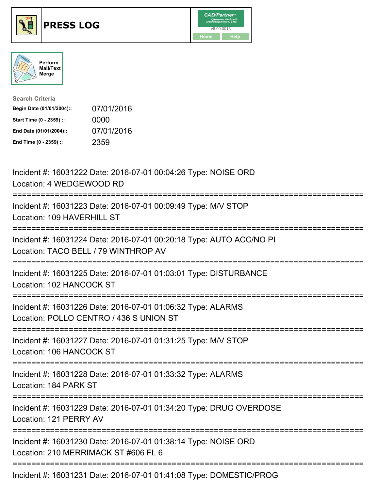





| <b>Search Criteria</b>    |            |
|---------------------------|------------|
| Begin Date (01/01/2004):: | 07/01/2016 |
| Start Time (0 - 2359) ::  | 0000       |
| End Date (01/01/2004)::   | 07/01/2016 |
| End Time (0 - 2359) ::    | 2359       |

| Incident #: 16031222 Date: 2016-07-01 00:04:26 Type: NOISE ORD<br>Location: 4 WEDGEWOOD RD                                             |
|----------------------------------------------------------------------------------------------------------------------------------------|
| Incident #: 16031223 Date: 2016-07-01 00:09:49 Type: M/V STOP<br>Location: 109 HAVERHILL ST                                            |
| Incident #: 16031224 Date: 2016-07-01 00:20:18 Type: AUTO ACC/NO PI<br>Location: TACO BELL / 79 WINTHROP AV                            |
| Incident #: 16031225 Date: 2016-07-01 01:03:01 Type: DISTURBANCE<br>Location: 102 HANCOCK ST                                           |
| Incident #: 16031226 Date: 2016-07-01 01:06:32 Type: ALARMS<br>Location: POLLO CENTRO / 436 S UNION ST<br>:=========================== |
| Incident #: 16031227 Date: 2016-07-01 01:31:25 Type: M/V STOP<br>Location: 106 HANCOCK ST                                              |
| Incident #: 16031228 Date: 2016-07-01 01:33:32 Type: ALARMS<br>Location: 184 PARK ST                                                   |
| Incident #: 16031229 Date: 2016-07-01 01:34:20 Type: DRUG OVERDOSE<br>Location: 121 PERRY AV                                           |
| Incident #: 16031230 Date: 2016-07-01 01:38:14 Type: NOISE ORD<br>Location: 210 MERRIMACK ST #606 FL 6                                 |
| Incident #: 16031231 Date: 2016-07-01 01:41:08 Type: DOMESTIC/PROG                                                                     |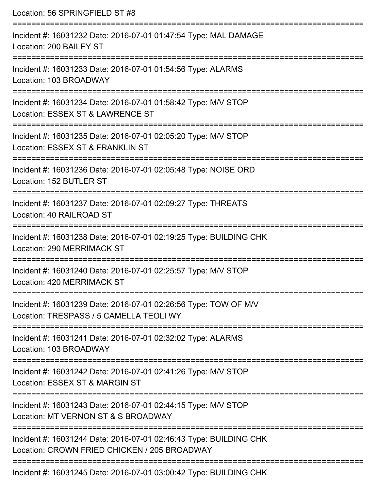Location: 56 SPRINGFIELD ST #8

| Incident #: 16031232 Date: 2016-07-01 01:47:54 Type: MAL DAMAGE<br>Location: 200 BAILEY ST                        |
|-------------------------------------------------------------------------------------------------------------------|
| Incident #: 16031233 Date: 2016-07-01 01:54:56 Type: ALARMS<br>Location: 103 BROADWAY                             |
| Incident #: 16031234 Date: 2016-07-01 01:58:42 Type: M/V STOP<br>Location: ESSEX ST & LAWRENCE ST                 |
| Incident #: 16031235 Date: 2016-07-01 02:05:20 Type: M/V STOP<br>Location: ESSEX ST & FRANKLIN ST                 |
| Incident #: 16031236 Date: 2016-07-01 02:05:48 Type: NOISE ORD<br>Location: 152 BUTLER ST                         |
| Incident #: 16031237 Date: 2016-07-01 02:09:27 Type: THREATS<br>Location: 40 RAILROAD ST                          |
| Incident #: 16031238 Date: 2016-07-01 02:19:25 Type: BUILDING CHK<br>Location: 290 MERRIMACK ST                   |
| Incident #: 16031240 Date: 2016-07-01 02:25:57 Type: M/V STOP<br>Location: 420 MERRIMACK ST                       |
| Incident #: 16031239 Date: 2016-07-01 02:26:56 Type: TOW OF M/V<br>Location: TRESPASS / 5 CAMELLA TEOLI WY        |
| Incident #: 16031241 Date: 2016-07-01 02:32:02 Type: ALARMS<br>Location: 103 BROADWAY                             |
| Incident #: 16031242 Date: 2016-07-01 02:41:26 Type: M/V STOP<br>Location: ESSEX ST & MARGIN ST                   |
| Incident #: 16031243 Date: 2016-07-01 02:44:15 Type: M/V STOP<br>Location: MT VERNON ST & S BROADWAY              |
| Incident #: 16031244 Date: 2016-07-01 02:46:43 Type: BUILDING CHK<br>Location: CROWN FRIED CHICKEN / 205 BROADWAY |
| Incident #: 16031245 Date: 2016-07-01 03:00:42 Type: BUILDING CHK                                                 |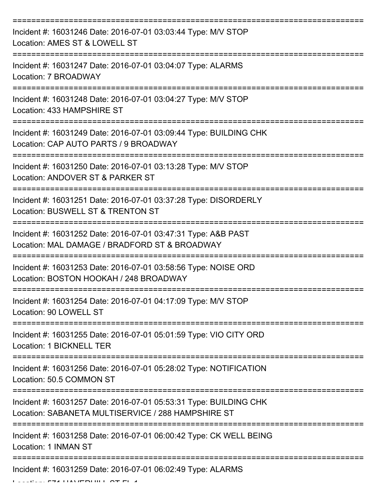| Incident #: 16031246 Date: 2016-07-01 03:03:44 Type: M/V STOP<br>Location: AMES ST & LOWELL ST                          |
|-------------------------------------------------------------------------------------------------------------------------|
| Incident #: 16031247 Date: 2016-07-01 03:04:07 Type: ALARMS<br>Location: 7 BROADWAY                                     |
| Incident #: 16031248 Date: 2016-07-01 03:04:27 Type: M/V STOP<br>Location: 433 HAMPSHIRE ST                             |
| Incident #: 16031249 Date: 2016-07-01 03:09:44 Type: BUILDING CHK<br>Location: CAP AUTO PARTS / 9 BROADWAY              |
| Incident #: 16031250 Date: 2016-07-01 03:13:28 Type: M/V STOP<br>Location: ANDOVER ST & PARKER ST                       |
| Incident #: 16031251 Date: 2016-07-01 03:37:28 Type: DISORDERLY<br>Location: BUSWELL ST & TRENTON ST                    |
| Incident #: 16031252 Date: 2016-07-01 03:47:31 Type: A&B PAST<br>Location: MAL DAMAGE / BRADFORD ST & BROADWAY          |
| Incident #: 16031253 Date: 2016-07-01 03:58:56 Type: NOISE ORD<br>Location: BOSTON HOOKAH / 248 BROADWAY                |
| Incident #: 16031254 Date: 2016-07-01 04:17:09 Type: M/V STOP<br>Location: 90 LOWELL ST                                 |
| Incident #: 16031255 Date: 2016-07-01 05:01:59 Type: VIO CITY ORD<br>Location: 1 BICKNELL TER                           |
| Incident #: 16031256 Date: 2016-07-01 05:28:02 Type: NOTIFICATION<br>Location: 50.5 COMMON ST                           |
| Incident #: 16031257 Date: 2016-07-01 05:53:31 Type: BUILDING CHK<br>Location: SABANETA MULTISERVICE / 288 HAMPSHIRE ST |
| Incident #: 16031258 Date: 2016-07-01 06:00:42 Type: CK WELL BEING<br>Location: 1 INMAN ST                              |
| Incident #: 16031259 Date: 2016-07-01 06:02:49 Type: ALARMS                                                             |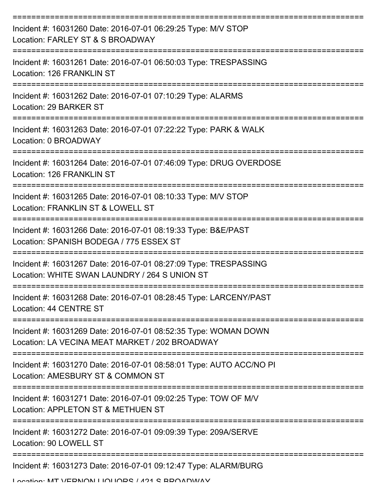| Incident #: 16031260 Date: 2016-07-01 06:29:25 Type: M/V STOP<br>Location: FARLEY ST & S BROADWAY                 |
|-------------------------------------------------------------------------------------------------------------------|
| Incident #: 16031261 Date: 2016-07-01 06:50:03 Type: TRESPASSING<br>Location: 126 FRANKLIN ST                     |
| Incident #: 16031262 Date: 2016-07-01 07:10:29 Type: ALARMS<br>Location: 29 BARKER ST                             |
| Incident #: 16031263 Date: 2016-07-01 07:22:22 Type: PARK & WALK<br>Location: 0 BROADWAY                          |
| Incident #: 16031264 Date: 2016-07-01 07:46:09 Type: DRUG OVERDOSE<br>Location: 126 FRANKLIN ST                   |
| Incident #: 16031265 Date: 2016-07-01 08:10:33 Type: M/V STOP<br>Location: FRANKLIN ST & LOWELL ST                |
| Incident #: 16031266 Date: 2016-07-01 08:19:33 Type: B&E/PAST<br>Location: SPANISH BODEGA / 775 ESSEX ST          |
| Incident #: 16031267 Date: 2016-07-01 08:27:09 Type: TRESPASSING<br>Location: WHITE SWAN LAUNDRY / 264 S UNION ST |
| Incident #: 16031268 Date: 2016-07-01 08:28:45 Type: LARCENY/PAST<br>Location: 44 CENTRE ST                       |
| Incident #: 16031269 Date: 2016-07-01 08:52:35 Type: WOMAN DOWN<br>Location: LA VECINA MEAT MARKET / 202 BROADWAY |
| Incident #: 16031270 Date: 2016-07-01 08:58:01 Type: AUTO ACC/NO PI<br>Location: AMESBURY ST & COMMON ST          |
| Incident #: 16031271 Date: 2016-07-01 09:02:25 Type: TOW OF M/V<br>Location: APPLETON ST & METHUEN ST             |
| Incident #: 16031272 Date: 2016-07-01 09:09:39 Type: 209A/SERVE<br>Location: 90 LOWELL ST                         |
| Incident #: 16031273 Date: 2016-07-01 09:12:47 Type: ALARM/BURG                                                   |

Location: MT VEDNION LIOLIODS / 421 S BROADWAY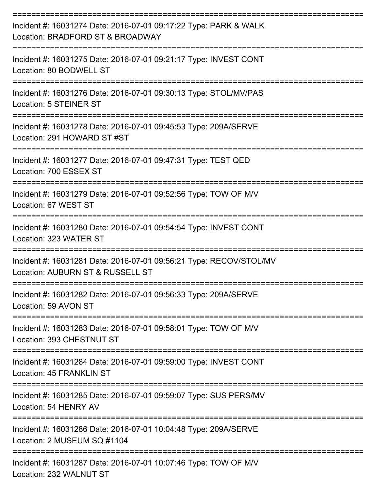| Incident #: 16031274 Date: 2016-07-01 09:17:22 Type: PARK & WALK<br>Location: BRADFORD ST & BROADWAY        |
|-------------------------------------------------------------------------------------------------------------|
| Incident #: 16031275 Date: 2016-07-01 09:21:17 Type: INVEST CONT<br>Location: 80 BODWELL ST                 |
| Incident #: 16031276 Date: 2016-07-01 09:30:13 Type: STOL/MV/PAS<br><b>Location: 5 STEINER ST</b>           |
| Incident #: 16031278 Date: 2016-07-01 09:45:53 Type: 209A/SERVE<br>Location: 291 HOWARD ST#ST               |
| Incident #: 16031277 Date: 2016-07-01 09:47:31 Type: TEST QED<br>Location: 700 ESSEX ST                     |
| Incident #: 16031279 Date: 2016-07-01 09:52:56 Type: TOW OF M/V<br>Location: 67 WEST ST                     |
| Incident #: 16031280 Date: 2016-07-01 09:54:54 Type: INVEST CONT<br>Location: 323 WATER ST                  |
| Incident #: 16031281 Date: 2016-07-01 09:56:21 Type: RECOV/STOL/MV<br>Location: AUBURN ST & RUSSELL ST      |
| Incident #: 16031282 Date: 2016-07-01 09:56:33 Type: 209A/SERVE<br>Location: 59 AVON ST<br>---------------- |
| Incident #: 16031283 Date: 2016-07-01 09:58:01 Type: TOW OF M/V<br>Location: 393 CHESTNUT ST                |
| Incident #: 16031284 Date: 2016-07-01 09:59:00 Type: INVEST CONT<br>Location: 45 FRANKLIN ST                |
| Incident #: 16031285 Date: 2016-07-01 09:59:07 Type: SUS PERS/MV<br>Location: 54 HENRY AV                   |
| Incident #: 16031286 Date: 2016-07-01 10:04:48 Type: 209A/SERVE<br>Location: 2 MUSEUM SQ #1104              |
| Incident #: 16031287 Date: 2016-07-01 10:07:46 Type: TOW OF M/V<br>Location: 232 WALNUT ST                  |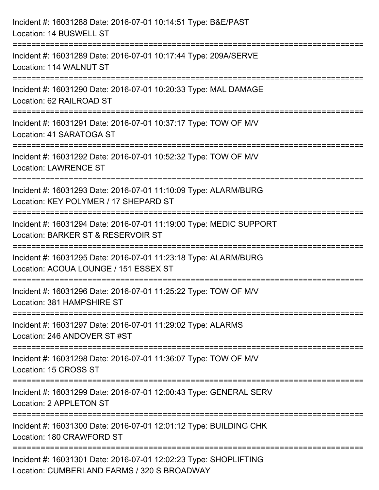| Incident #: 16031288 Date: 2016-07-01 10:14:51 Type: B&E/PAST<br>Location: 14 BUSWELL ST                                             |
|--------------------------------------------------------------------------------------------------------------------------------------|
| ===================================<br>Incident #: 16031289 Date: 2016-07-01 10:17:44 Type: 209A/SERVE<br>Location: 114 WALNUT ST    |
| Incident #: 16031290 Date: 2016-07-01 10:20:33 Type: MAL DAMAGE<br>Location: 62 RAILROAD ST                                          |
| Incident #: 16031291 Date: 2016-07-01 10:37:17 Type: TOW OF M/V<br>Location: 41 SARATOGA ST                                          |
| Incident #: 16031292 Date: 2016-07-01 10:52:32 Type: TOW OF M/V<br><b>Location: LAWRENCE ST</b>                                      |
| Incident #: 16031293 Date: 2016-07-01 11:10:09 Type: ALARM/BURG<br>Location: KEY POLYMER / 17 SHEPARD ST                             |
| :=======================<br>Incident #: 16031294 Date: 2016-07-01 11:19:00 Type: MEDIC SUPPORT<br>Location: BARKER ST & RESERVOIR ST |
| Incident #: 16031295 Date: 2016-07-01 11:23:18 Type: ALARM/BURG<br>Location: ACOUA LOUNGE / 151 ESSEX ST                             |
| Incident #: 16031296 Date: 2016-07-01 11:25:22 Type: TOW OF M/V<br>Location: 381 HAMPSHIRE ST                                        |
| Incident #: 16031297 Date: 2016-07-01 11:29:02 Type: ALARMS<br>Location: 246 ANDOVER ST #ST                                          |
| Incident #: 16031298 Date: 2016-07-01 11:36:07 Type: TOW OF M/V<br>Location: 15 CROSS ST                                             |
| Incident #: 16031299 Date: 2016-07-01 12:00:43 Type: GENERAL SERV<br>Location: 2 APPLETON ST                                         |
| Incident #: 16031300 Date: 2016-07-01 12:01:12 Type: BUILDING CHK<br>Location: 180 CRAWFORD ST                                       |
| Incident #: 16031301 Date: 2016-07-01 12:02:23 Type: SHOPLIFTING<br>Location: CUMBERLAND FARMS / 320 S BROADWAY                      |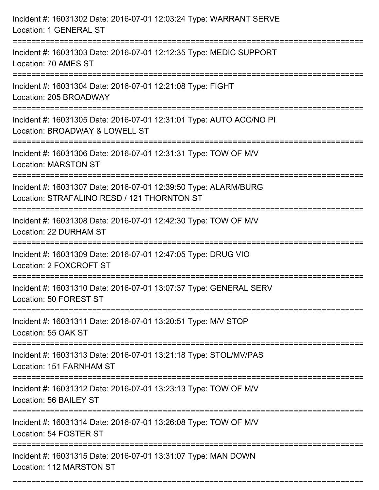| Incident #: 16031302 Date: 2016-07-01 12:03:24 Type: WARRANT SERVE<br>Location: 1 GENERAL ST                                                         |
|------------------------------------------------------------------------------------------------------------------------------------------------------|
| Incident #: 16031303 Date: 2016-07-01 12:12:35 Type: MEDIC SUPPORT<br>Location: 70 AMES ST                                                           |
| Incident #: 16031304 Date: 2016-07-01 12:21:08 Type: FIGHT<br>Location: 205 BROADWAY                                                                 |
| Incident #: 16031305 Date: 2016-07-01 12:31:01 Type: AUTO ACC/NO PI<br>Location: BROADWAY & LOWELL ST                                                |
| Incident #: 16031306 Date: 2016-07-01 12:31:31 Type: TOW OF M/V<br><b>Location: MARSTON ST</b>                                                       |
| Incident #: 16031307 Date: 2016-07-01 12:39:50 Type: ALARM/BURG<br>Location: STRAFALINO RESD / 121 THORNTON ST                                       |
| Incident #: 16031308 Date: 2016-07-01 12:42:30 Type: TOW OF M/V<br>Location: 22 DURHAM ST                                                            |
| Incident #: 16031309 Date: 2016-07-01 12:47:05 Type: DRUG VIO<br>Location: 2 FOXCROFT ST                                                             |
| Incident #: 16031310 Date: 2016-07-01 13:07:37 Type: GENERAL SERV<br>Location: 50 FOREST ST                                                          |
| Incident #: 16031311 Date: 2016-07-01 13:20:51 Type: M/V STOP<br>Location: 55 OAK ST                                                                 |
| Incident #: 16031313 Date: 2016-07-01 13:21:18 Type: STOL/MV/PAS<br>Location: 151 FARNHAM ST                                                         |
| Incident #: 16031312 Date: 2016-07-01 13:23:13 Type: TOW OF M/V<br>Location: 56 BAILEY ST<br>----------------------------<br>----------------------- |
| Incident #: 16031314 Date: 2016-07-01 13:26:08 Type: TOW OF M/V<br>Location: 54 FOSTER ST                                                            |
| Incident #: 16031315 Date: 2016-07-01 13:31:07 Type: MAN DOWN<br>Location: 112 MARSTON ST                                                            |

===========================================================================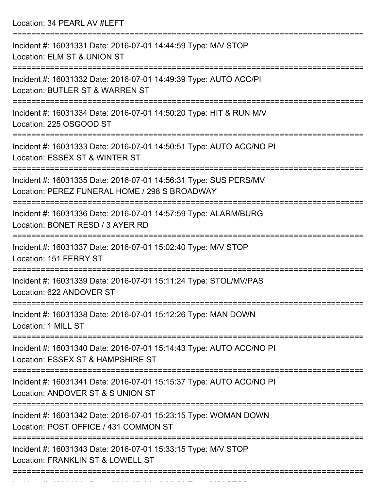Location: 34 PEARL AV #LEFT =========================================================================== Incident #: 16031331 Date: 2016-07-01 14:44:59 Type: M/V STOP Location: ELM ST & UNION ST =========================================================================== Incident #: 16031332 Date: 2016-07-01 14:49:39 Type: AUTO ACC/PI Location: BUTLER ST & WARREN ST =========================================================================== Incident #: 16031334 Date: 2016-07-01 14:50:20 Type: HIT & RUN M/V Location: 225 OSGOOD ST =========================================================================== Incident #: 16031333 Date: 2016-07-01 14:50:51 Type: AUTO ACC/NO PI Location: ESSEX ST & WINTER ST =========================================================================== Incident #: 16031335 Date: 2016-07-01 14:56:31 Type: SUS PERS/MV Location: PEREZ FUNERAL HOME / 298 S BROADWAY =========================================================================== Incident #: 16031336 Date: 2016-07-01 14:57:59 Type: ALARM/BURG Location: BONET RESD / 3 AYER RD =========================================================================== Incident #: 16031337 Date: 2016-07-01 15:02:40 Type: M/V STOP Location: 151 FERRY ST =========================================================================== Incident #: 16031339 Date: 2016-07-01 15:11:24 Type: STOL/MV/PAS Location: 622 ANDOVER ST =========================================================================== Incident #: 16031338 Date: 2016-07-01 15:12:26 Type: MAN DOWN Location: 1 MILL ST =========================================================================== Incident #: 16031340 Date: 2016-07-01 15:14:43 Type: AUTO ACC/NO PI Location: ESSEX ST & HAMPSHIRE ST =========================================================================== Incident #: 16031341 Date: 2016-07-01 15:15:37 Type: AUTO ACC/NO PI Location: ANDOVER ST & S UNION ST =========================================================================== Incident #: 16031342 Date: 2016-07-01 15:23:15 Type: WOMAN DOWN Location: POST OFFICE / 431 COMMON ST =========================================================================== Incident #: 16031343 Date: 2016-07-01 15:33:15 Type: M/V STOP Location: FRANKLIN ST & LOWELL ST ===========================================================================

Incident #: 16031344 Date: 2016 07 01 15:35:56 Type: Microsoft.com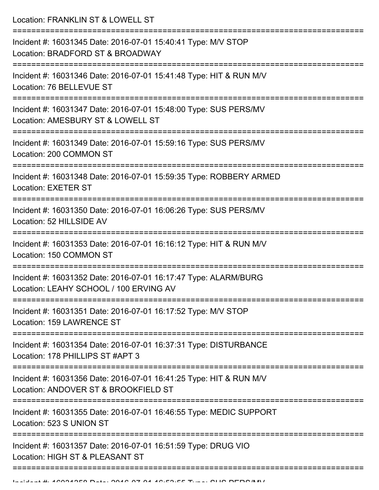Location: FRANKLIN ST & LOWELL ST

| Incident #: 16031345 Date: 2016-07-01 15:40:41 Type: M/V STOP<br>Location: BRADFORD ST & BROADWAY          |
|------------------------------------------------------------------------------------------------------------|
| Incident #: 16031346 Date: 2016-07-01 15:41:48 Type: HIT & RUN M/V<br>Location: 76 BELLEVUE ST             |
| Incident #: 16031347 Date: 2016-07-01 15:48:00 Type: SUS PERS/MV<br>Location: AMESBURY ST & LOWELL ST      |
| Incident #: 16031349 Date: 2016-07-01 15:59:16 Type: SUS PERS/MV<br>Location: 200 COMMON ST                |
| Incident #: 16031348 Date: 2016-07-01 15:59:35 Type: ROBBERY ARMED<br><b>Location: EXETER ST</b>           |
| Incident #: 16031350 Date: 2016-07-01 16:06:26 Type: SUS PERS/MV<br>Location: 52 HILLSIDE AV               |
| Incident #: 16031353 Date: 2016-07-01 16:16:12 Type: HIT & RUN M/V<br>Location: 150 COMMON ST              |
| Incident #: 16031352 Date: 2016-07-01 16:17:47 Type: ALARM/BURG<br>Location: LEAHY SCHOOL / 100 ERVING AV  |
| Incident #: 16031351 Date: 2016-07-01 16:17:52 Type: M/V STOP<br>Location: 159 LAWRENCE ST                 |
| Incident #: 16031354 Date: 2016-07-01 16:37:31 Type: DISTURBANCE<br>Location: 178 PHILLIPS ST #APT 3       |
| Incident #: 16031356 Date: 2016-07-01 16:41:25 Type: HIT & RUN M/V<br>Location: ANDOVER ST & BROOKFIELD ST |
| Incident #: 16031355 Date: 2016-07-01 16:46:55 Type: MEDIC SUPPORT<br>Location: 523 S UNION ST             |
| Incident #: 16031357 Date: 2016-07-01 16:51:59 Type: DRUG VIO<br>Location: HIGH ST & PLEASANT ST           |
|                                                                                                            |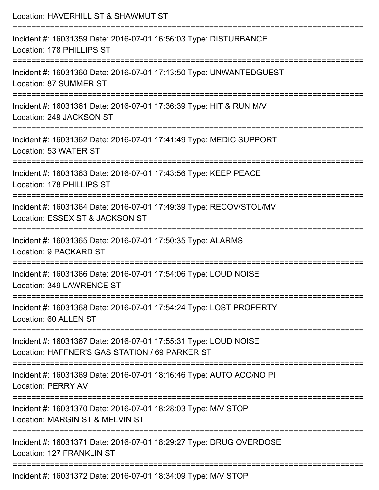| Location: HAVERHILL ST & SHAWMUT ST                                                                                                     |
|-----------------------------------------------------------------------------------------------------------------------------------------|
| Incident #: 16031359 Date: 2016-07-01 16:56:03 Type: DISTURBANCE<br>Location: 178 PHILLIPS ST                                           |
| Incident #: 16031360 Date: 2016-07-01 17:13:50 Type: UNWANTEDGUEST<br>Location: 87 SUMMER ST                                            |
| Incident #: 16031361 Date: 2016-07-01 17:36:39 Type: HIT & RUN M/V<br>Location: 249 JACKSON ST                                          |
| Incident #: 16031362 Date: 2016-07-01 17:41:49 Type: MEDIC SUPPORT<br>Location: 53 WATER ST                                             |
| Incident #: 16031363 Date: 2016-07-01 17:43:56 Type: KEEP PEACE<br>Location: 178 PHILLIPS ST                                            |
| Incident #: 16031364 Date: 2016-07-01 17:49:39 Type: RECOV/STOL/MV<br>Location: ESSEX ST & JACKSON ST                                   |
| Incident #: 16031365 Date: 2016-07-01 17:50:35 Type: ALARMS<br><b>Location: 9 PACKARD ST</b>                                            |
| :============================<br>Incident #: 16031366 Date: 2016-07-01 17:54:06 Type: LOUD NOISE<br>Location: 349 LAWRENCE ST           |
| Incident #: 16031368 Date: 2016-07-01 17:54:24 Type: LOST PROPERTY<br>Location: 60 ALLEN ST                                             |
| ------------------<br>Incident #: 16031367 Date: 2016-07-01 17:55:31 Type: LOUD NOISE<br>Location: HAFFNER'S GAS STATION / 69 PARKER ST |
| Incident #: 16031369 Date: 2016-07-01 18:16:46 Type: AUTO ACC/NO PI<br><b>Location: PERRY AV</b>                                        |
| Incident #: 16031370 Date: 2016-07-01 18:28:03 Type: M/V STOP<br>Location: MARGIN ST & MELVIN ST                                        |
| Incident #: 16031371 Date: 2016-07-01 18:29:27 Type: DRUG OVERDOSE<br>Location: 127 FRANKLIN ST                                         |
| Incident #: 16031372 Date: 2016-07-01 18:34:09 Type: M/V STOP                                                                           |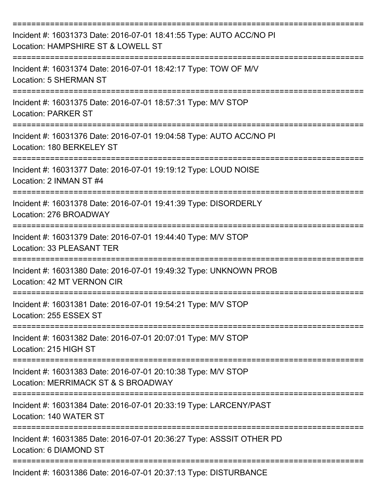| Incident #: 16031373 Date: 2016-07-01 18:41:55 Type: AUTO ACC/NO PI<br>Location: HAMPSHIRE ST & LOWELL ST |
|-----------------------------------------------------------------------------------------------------------|
| Incident #: 16031374 Date: 2016-07-01 18:42:17 Type: TOW OF M/V<br>Location: 5 SHERMAN ST                 |
| Incident #: 16031375 Date: 2016-07-01 18:57:31 Type: M/V STOP<br><b>Location: PARKER ST</b>               |
| Incident #: 16031376 Date: 2016-07-01 19:04:58 Type: AUTO ACC/NO PI<br>Location: 180 BERKELEY ST          |
| Incident #: 16031377 Date: 2016-07-01 19:19:12 Type: LOUD NOISE<br>Location: 2 INMAN ST #4                |
| Incident #: 16031378 Date: 2016-07-01 19:41:39 Type: DISORDERLY<br>Location: 276 BROADWAY                 |
| Incident #: 16031379 Date: 2016-07-01 19:44:40 Type: M/V STOP<br><b>Location: 33 PLEASANT TER</b>         |
| Incident #: 16031380 Date: 2016-07-01 19:49:32 Type: UNKNOWN PROB<br>Location: 42 MT VERNON CIR           |
| Incident #: 16031381 Date: 2016-07-01 19:54:21 Type: M/V STOP<br>Location: 255 ESSEX ST                   |
| Incident #: 16031382 Date: 2016-07-01 20:07:01 Type: M/V STOP<br>Location: 215 HIGH ST                    |
| Incident #: 16031383 Date: 2016-07-01 20:10:38 Type: M/V STOP<br>Location: MERRIMACK ST & S BROADWAY      |
| Incident #: 16031384 Date: 2016-07-01 20:33:19 Type: LARCENY/PAST<br>Location: 140 WATER ST               |
| Incident #: 16031385 Date: 2016-07-01 20:36:27 Type: ASSSIT OTHER PD<br>Location: 6 DIAMOND ST            |
| Incident #: 16031386 Date: 2016-07-01 20:37:13 Type: DISTURBANCE                                          |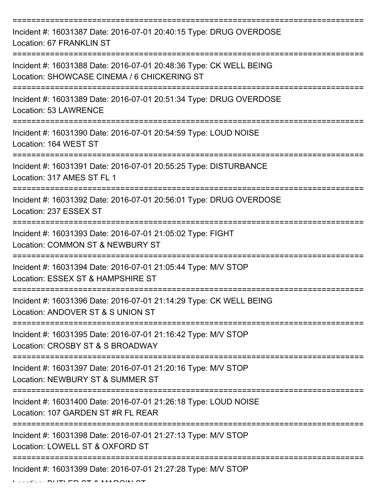| Incident #: 16031387 Date: 2016-07-01 20:40:15 Type: DRUG OVERDOSE<br>Location: 67 FRANKLIN ST                    |
|-------------------------------------------------------------------------------------------------------------------|
| Incident #: 16031388 Date: 2016-07-01 20:48:36 Type: CK WELL BEING<br>Location: SHOWCASE CINEMA / 6 CHICKERING ST |
| Incident #: 16031389 Date: 2016-07-01 20:51:34 Type: DRUG OVERDOSE<br><b>Location: 53 LAWRENCE</b>                |
| Incident #: 16031390 Date: 2016-07-01 20:54:59 Type: LOUD NOISE<br>Location: 164 WEST ST                          |
| Incident #: 16031391 Date: 2016-07-01 20:55:25 Type: DISTURBANCE<br>Location: 317 AMES ST FL 1                    |
| Incident #: 16031392 Date: 2016-07-01 20:56:01 Type: DRUG OVERDOSE<br>Location: 237 ESSEX ST                      |
| Incident #: 16031393 Date: 2016-07-01 21:05:02 Type: FIGHT<br>Location: COMMON ST & NEWBURY ST                    |
| Incident #: 16031394 Date: 2016-07-01 21:05:44 Type: M/V STOP<br>Location: ESSEX ST & HAMPSHIRE ST                |
| Incident #: 16031396 Date: 2016-07-01 21:14:29 Type: CK WELL BEING<br>Location: ANDOVER ST & S UNION ST           |
| Incident #: 16031395 Date: 2016-07-01 21:16:42 Type: M/V STOP<br>Location: CROSBY ST & S BROADWAY                 |
| Incident #: 16031397 Date: 2016-07-01 21:20:16 Type: M/V STOP<br>Location: NEWBURY ST & SUMMER ST                 |
| Incident #: 16031400 Date: 2016-07-01 21:26:18 Type: LOUD NOISE<br>Location: 107 GARDEN ST #R FL REAR             |
| Incident #: 16031398 Date: 2016-07-01 21:27:13 Type: M/V STOP<br>Location: LOWELL ST & OXFORD ST                  |
| Incident #: 16031399 Date: 2016-07-01 21:27:28 Type: M/V STOP                                                     |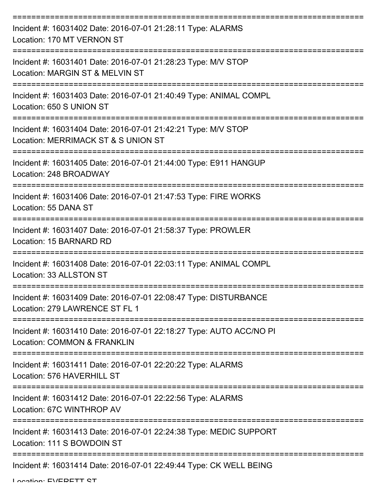| Incident #: 16031402 Date: 2016-07-01 21:28:11 Type: ALARMS<br>Location: 170 MT VERNON ST                          |
|--------------------------------------------------------------------------------------------------------------------|
| Incident #: 16031401 Date: 2016-07-01 21:28:23 Type: M/V STOP<br>Location: MARGIN ST & MELVIN ST<br>============== |
| Incident #: 16031403 Date: 2016-07-01 21:40:49 Type: ANIMAL COMPL<br>Location: 650 S UNION ST                      |
| Incident #: 16031404 Date: 2016-07-01 21:42:21 Type: M/V STOP<br>Location: MERRIMACK ST & S UNION ST               |
| Incident #: 16031405 Date: 2016-07-01 21:44:00 Type: E911 HANGUP<br>Location: 248 BROADWAY                         |
| Incident #: 16031406 Date: 2016-07-01 21:47:53 Type: FIRE WORKS<br>Location: 55 DANA ST                            |
| Incident #: 16031407 Date: 2016-07-01 21:58:37 Type: PROWLER<br>Location: 15 BARNARD RD                            |
| Incident #: 16031408 Date: 2016-07-01 22:03:11 Type: ANIMAL COMPL<br>Location: 33 ALLSTON ST                       |
| Incident #: 16031409 Date: 2016-07-01 22:08:47 Type: DISTURBANCE<br>Location: 279 LAWRENCE ST FL 1                 |
| Incident #: 16031410 Date: 2016-07-01 22:18:27 Type: AUTO ACC/NO PI<br><b>Location: COMMON &amp; FRANKLIN</b>      |
| Incident #: 16031411 Date: 2016-07-01 22:20:22 Type: ALARMS<br>Location: 576 HAVERHILL ST                          |
| Incident #: 16031412 Date: 2016-07-01 22:22:56 Type: ALARMS<br>Location: 67C WINTHROP AV                           |
| Incident #: 16031413 Date: 2016-07-01 22:24:38 Type: MEDIC SUPPORT<br>Location: 111 S BOWDOIN ST                   |
| Incident #: 16031414 Date: 2016-07-01 22:49:44 Type: CK WELL BEING                                                 |